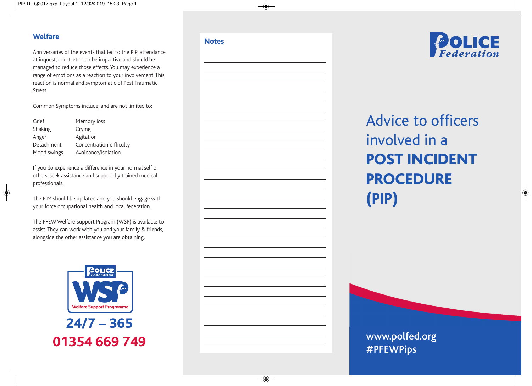#### **Welfare**

Anniversaries of the events that led to the PIP, attendance at inquest, court, etc. can be impactive and should be managed to reduce those effects.You may experience a range of emotions as a reaction to your involvement.This reaction is normal and symptomatic of Post Traumatic Stress.

Common Symptoms include, and are not limited to:

| Grief       | Memory loss              |
|-------------|--------------------------|
| Shaking     | Crying                   |
| Anger       | Agitation                |
| Detachment  | Concentration difficulty |
| Mood swings | Avoidance/Isolation      |

If you do experience a difference in your normal self or others, seek assistance and support by trained medical professionals.

The PIM should be updated and you should engage with your force occupational health and local federation.

The PFEWWelfare Support Program (WSP) is available to assist.They can work with you and your family & friends, alongside the other assistance you are obtaining.



**24/7 – 365 01354 669 749**

#### **Notes**





# Advice to officers involved in a **POST INCIDENT PROCEDURE (PIP)**